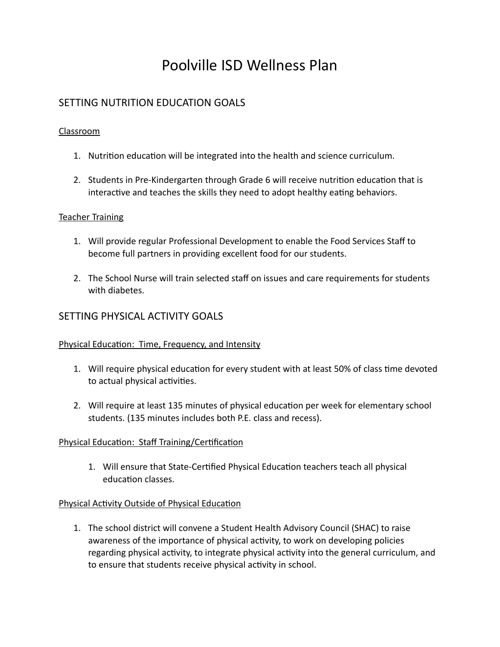# Poolville ISD Wellness Plan

# SETTING NUTRITION EDUCATION GOALS

## Classroom

- 1. Nutrition education will be integrated into the health and science curriculum.
- 2. Students in Pre-Kindergarten through Grade 6 will receive nutrition education that is interactive and teaches the skills they need to adopt healthy eating behaviors.

#### Teacher Training

- 1. Will provide regular Professional Development to enable the Food Services Staff to become full partners in providing excellent food for our students.
- 2. The School Nurse will train selected staff on issues and care requirements for students with diabetes.

# SETTING PHYSICAL ACTIVITY GOALS

#### Physical Education: Time, Frequency, and Intensity

- 1. Will require physical education for every student with at least 50% of class time devoted to actual physical activities.
- 2. Will require at least 135 minutes of physical education per week for elementary school students. (135 minutes includes both P.E. class and recess).

# Physical Education: Staff Training/Certification

1. Will ensure that State-Certified Physical Education teachers teach all physical education classes.

# Physical Activity Outside of Physical Education

1. The school district will convene a Student Health Advisory Council (SHAC) to raise awareness of the importance of physical activity, to work on developing policies regarding physical activity, to integrate physical activity into the general curriculum, and to ensure that students receive physical activity in school.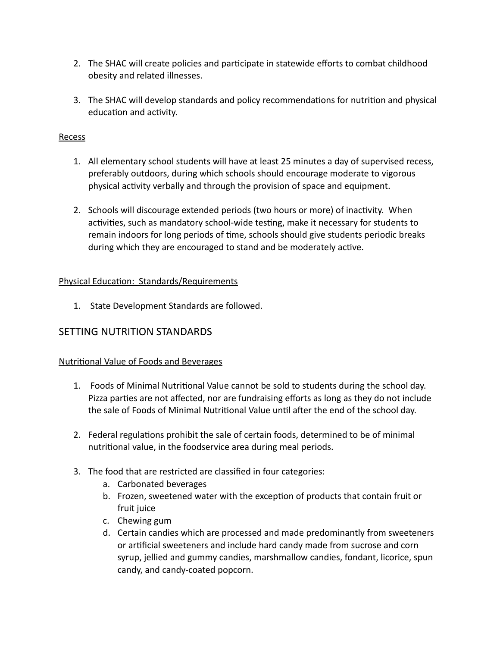- 2. The SHAC will create policies and participate in statewide efforts to combat childhood obesity and related illnesses.
- 3. The SHAC will develop standards and policy recommendations for nutrition and physical education and activity.

## Recess

- 1. All elementary school students will have at least 25 minutes a day of supervised recess, preferably outdoors, during which schools should encourage moderate to vigorous physical activity verbally and through the provision of space and equipment.
- 2. Schools will discourage extended periods (two hours or more) of inactivity. When activities, such as mandatory school-wide testing, make it necessary for students to remain indoors for long periods of time, schools should give students periodic breaks during which they are encouraged to stand and be moderately active.

# Physical Education: Standards/Requirements

1. State Development Standards are followed.

# SETTING NUTRITION STANDARDS

# Nutritional Value of Foods and Beverages

- 1. Foods of Minimal Nutritional Value cannot be sold to students during the school day. Pizza parties are not affected, nor are fundraising efforts as long as they do not include the sale of Foods of Minimal Nutritional Value until after the end of the school day.
- 2. Federal regulations prohibit the sale of certain foods, determined to be of minimal nutritional value, in the foodservice area during meal periods.
- 3. The food that are restricted are classified in four categories:
	- a. Carbonated beverages
	- b. Frozen, sweetened water with the exception of products that contain fruit or fruit juice
	- c. Chewing gum
	- d. Certain candies which are processed and made predominantly from sweeteners or artificial sweeteners and include hard candy made from sucrose and corn syrup, jellied and gummy candies, marshmallow candies, fondant, licorice, spun candy, and candy-coated popcorn.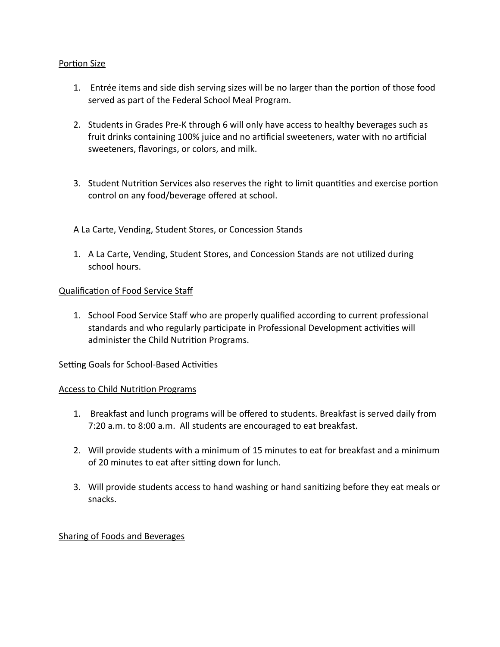## Portion Size

- 1. Entrée items and side dish serving sizes will be no larger than the portion of those food served as part of the Federal School Meal Program.
- 2. Students in Grades Pre-K through 6 will only have access to healthy beverages such as fruit drinks containing 100% juice and no artificial sweeteners, water with no artificial sweeteners, flavorings, or colors, and milk.
- 3. Student Nutrition Services also reserves the right to limit quantities and exercise portion control on any food/beverage offered at school.

## A La Carte, Vending, Student Stores, or Concession Stands

1. A La Carte, Vending, Student Stores, and Concession Stands are not utilized during school hours.

#### Qualification of Food Service Staf

1. School Food Service Staff who are properly qualified according to current professional standards and who regularly participate in Professional Development activities will administer the Child Nutrition Programs.

#### Setting Goals for School-Based Activities

#### Access to Child Nutrition Programs

- 1. Breakfast and lunch programs will be offered to students. Breakfast is served daily from 7:20 a.m. to 8:00 a.m. All students are encouraged to eat breakfast.
- 2. Will provide students with a minimum of 15 minutes to eat for breakfast and a minimum of 20 minutes to eat after sitting down for lunch.
- 3. Will provide students access to hand washing or hand sanitizing before they eat meals or snacks.

#### Sharing of Foods and Beverages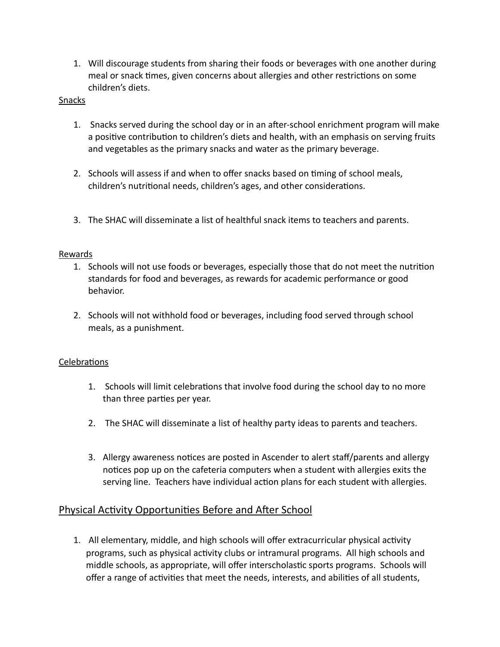1. Will discourage students from sharing their foods or beverages with one another during meal or snack times, given concerns about allergies and other restrictions on some children's diets.

## **Snacks**

- 1. Snacks served during the school day or in an after-school enrichment program will make a positive contribution to children's diets and health, with an emphasis on serving fruits and vegetables as the primary snacks and water as the primary beverage.
- 2. Schools will assess if and when to offer snacks based on timing of school meals, children's nutritional needs, children's ages, and other considerations.
- 3. The SHAC will disseminate a list of healthful snack items to teachers and parents.

## Rewards

- 1. Schools will not use foods or beverages, especially those that do not meet the nutrition standards for food and beverages, as rewards for academic performance or good behavior.
- 2. Schools will not withhold food or beverages, including food served through school meals, as a punishment.

# Celebrations

- 1. Schools will limit celebrations that involve food during the school day to no more than three parties per year.
- 2. The SHAC will disseminate a list of healthy party ideas to parents and teachers.
- 3. Allergy awareness notices are posted in Ascender to alert staff/parents and allergy notices pop up on the cafeteria computers when a student with allergies exits the serving line. Teachers have individual action plans for each student with allergies.

# Physical Activity Opportunities Before and After School

1. All elementary, middle, and high schools will offer extracurricular physical activity programs, such as physical activity clubs or intramural programs. All high schools and middle schools, as appropriate, will offer interscholastic sports programs. Schools will offer a range of activities that meet the needs, interests, and abilities of all students,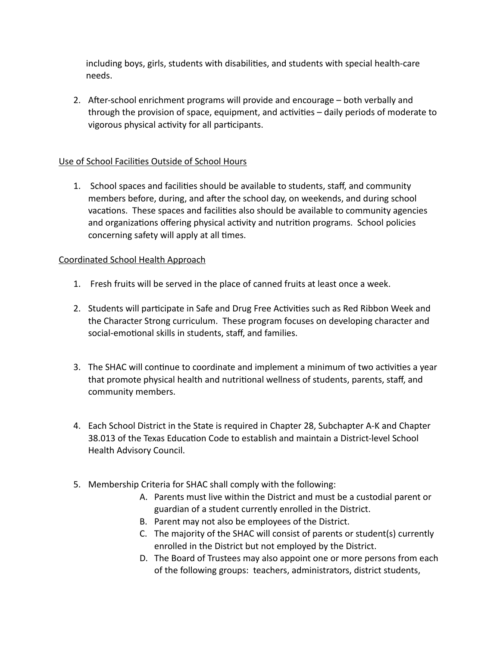including boys, girls, students with disabilities, and students with special health-care needs.

2. After-school enrichment programs will provide and encourage – both verbally and through the provision of space, equipment, and activities – daily periods of moderate to vigorous physical activity for all participants.

## Use of School Facilities Outside of School Hours

1. School spaces and facilities should be available to students, staff, and community members before, during, and after the school day, on weekends, and during school vacations. These spaces and facilities also should be available to community agencies and organizations offering physical activity and nutrition programs. School policies concerning safety will apply at all times.

## Coordinated School Health Approach

- 1. Fresh fruits will be served in the place of canned fruits at least once a week.
- 2. Students will participate in Safe and Drug Free Activities such as Red Ribbon Week and the Character Strong curriculum. These program focuses on developing character and social-emotional skills in students, staff, and families.
- 3. The SHAC will continue to coordinate and implement a minimum of two activities a year that promote physical health and nutritional wellness of students, parents, staff, and community members.
- 4. Each School District in the State is required in Chapter 28, Subchapter A-K and Chapter 38.013 of the Texas Education Code to establish and maintain a District-level School Health Advisory Council.
- 5. Membership Criteria for SHAC shall comply with the following:
	- A. Parents must live within the District and must be a custodial parent or guardian of a student currently enrolled in the District.
	- B. Parent may not also be employees of the District.
	- C. The majority of the SHAC will consist of parents or student(s) currently enrolled in the District but not employed by the District.
	- D. The Board of Trustees may also appoint one or more persons from each of the following groups: teachers, administrators, district students,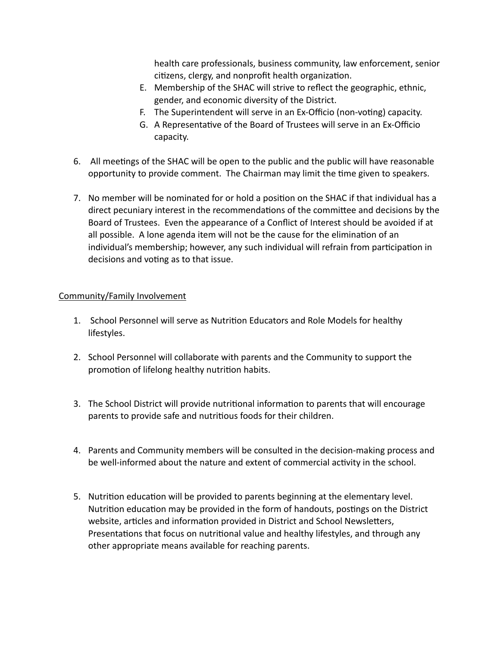health care professionals, business community, law enforcement, senior citizens, clergy, and nonprofit health organization.

- E. Membership of the SHAC will strive to reflect the geographic, ethnic, gender, and economic diversity of the District.
- F. The Superintendent will serve in an Ex-Officio (non-voting) capacity.
- G. A Representative of the Board of Trustees will serve in an Ex-Officio capacity.
- 6. All meetings of the SHAC will be open to the public and the public will have reasonable opportunity to provide comment. The Chairman may limit the time given to speakers.
- 7. No member will be nominated for or hold a position on the SHAC if that individual has a direct pecuniary interest in the recommendations of the committee and decisions by the Board of Trustees. Even the appearance of a Conflict of Interest should be avoided if at all possible. A lone agenda item will not be the cause for the elimination of an individual's membership; however, any such individual will refrain from participation in decisions and voting as to that issue.

## Community/Family Involvement

- 1. School Personnel will serve as Nutrition Educators and Role Models for healthy lifestyles.
- 2. School Personnel will collaborate with parents and the Community to support the promotion of lifelong healthy nutrition habits.
- 3. The School District will provide nutritional information to parents that will encourage parents to provide safe and nutritious foods for their children.
- 4. Parents and Community members will be consulted in the decision-making process and be well-informed about the nature and extent of commercial activity in the school.
- 5. Nutrition education will be provided to parents beginning at the elementary level. Nutrition education may be provided in the form of handouts, postings on the District website, articles and information provided in District and School Newsletters, Presentations that focus on nutritional value and healthy lifestyles, and through any other appropriate means available for reaching parents.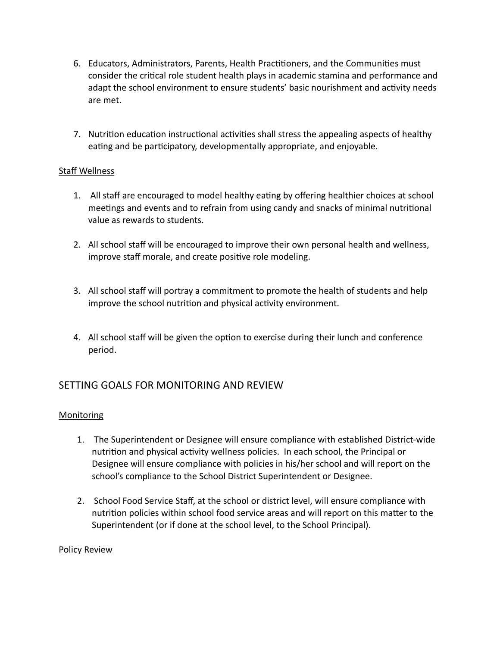- 6. Educators, Administrators, Parents, Health Practitioners, and the Communities must consider the critical role student health plays in academic stamina and performance and adapt the school environment to ensure students' basic nourishment and activity needs are met.
- 7. Nutrition education instructional activities shall stress the appealing aspects of healthy eating and be participatory, developmentally appropriate, and enjoyable.

# Staff Wellness

- 1. All staff are encouraged to model healthy eating by offering healthier choices at school meetings and events and to refrain from using candy and snacks of minimal nutritional value as rewards to students.
- 2. All school staff will be encouraged to improve their own personal health and wellness, improve staff morale, and create positive role modeling.
- 3. All school staff will portray a commitment to promote the health of students and help improve the school nutrition and physical activity environment.
- 4. All school staff will be given the option to exercise during their lunch and conference period.

# SETTING GOALS FOR MONITORING AND REVIEW

#### **Monitoring**

- 1. The Superintendent or Designee will ensure compliance with established District-wide nutrition and physical activity wellness policies. In each school, the Principal or Designee will ensure compliance with policies in his/her school and will report on the school's compliance to the School District Superintendent or Designee.
- 2. School Food Service Staff, at the school or district level, will ensure compliance with nutrition policies within school food service areas and will report on this matter to the Superintendent (or if done at the school level, to the School Principal).

#### Policy Review